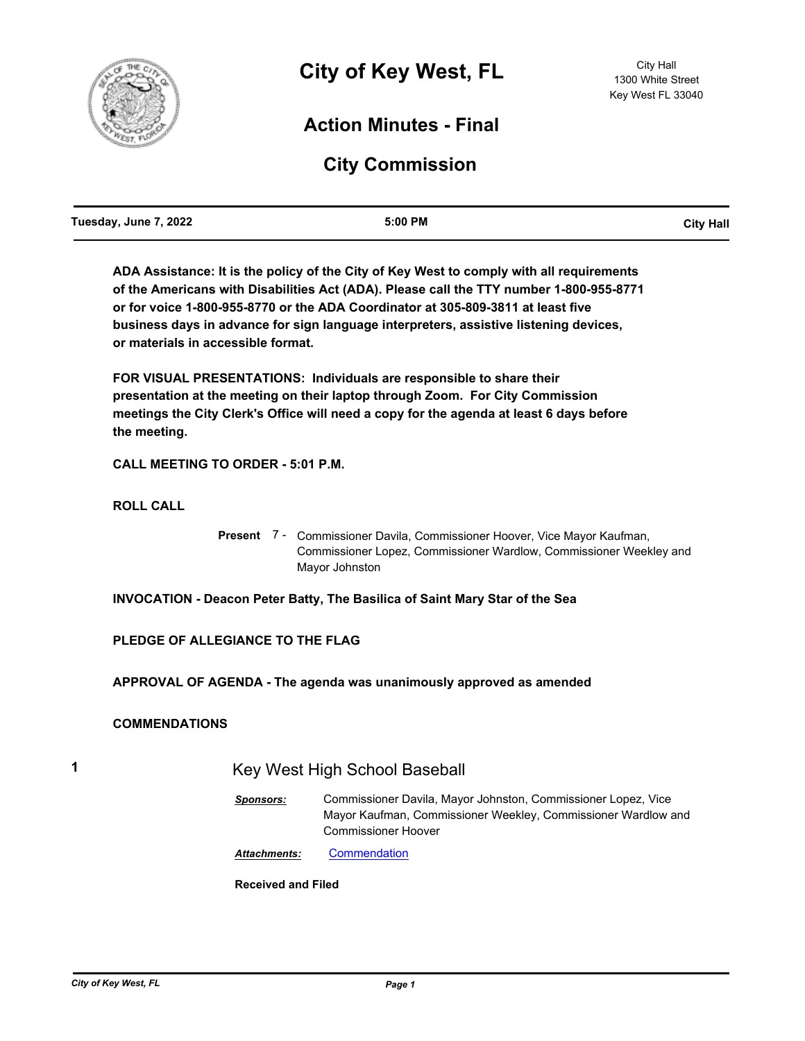

# **Action Minutes - Final**

# **City Commission**

| Tuesday, June 7, 2022 | 5:00 PM | <b>City Hall</b> |
|-----------------------|---------|------------------|
|                       |         |                  |

**ADA Assistance: It is the policy of the City of Key West to comply with all requirements of the Americans with Disabilities Act (ADA). Please call the TTY number 1-800-955-8771 or for voice 1-800-955-8770 or the ADA Coordinator at 305-809-3811 at least five business days in advance for sign language interpreters, assistive listening devices, or materials in accessible format.**

**FOR VISUAL PRESENTATIONS: Individuals are responsible to share their presentation at the meeting on their laptop through Zoom. For City Commission meetings the City Clerk's Office will need a copy for the agenda at least 6 days before the meeting.**

**CALL MEETING TO ORDER - 5:01 P.M.**

**ROLL CALL**

Present 7 - Commissioner Davila, Commissioner Hoover, Vice Mayor Kaufman, Commissioner Lopez, Commissioner Wardlow, Commissioner Weekley and Mayor Johnston

**INVOCATION - Deacon Peter Batty, The Basilica of Saint Mary Star of the Sea**

## **PLEDGE OF ALLEGIANCE TO THE FLAG**

**APPROVAL OF AGENDA - The agenda was unanimously approved as amended**

### **COMMENDATIONS**

# **1** Key West High School Baseball

*Sponsors:* Commissioner Davila, Mayor Johnston, Commissioner Lopez, Vice Mayor Kaufman, Commissioner Weekley, Commissioner Wardlow and Commissioner Hoover

*Attachments:* [Commendation](http://KeyWest.legistar.com/gateway.aspx?M=F&ID=c2089a49-0afd-4a6b-a989-849cedd96f96.pdf)

**Received and Filed**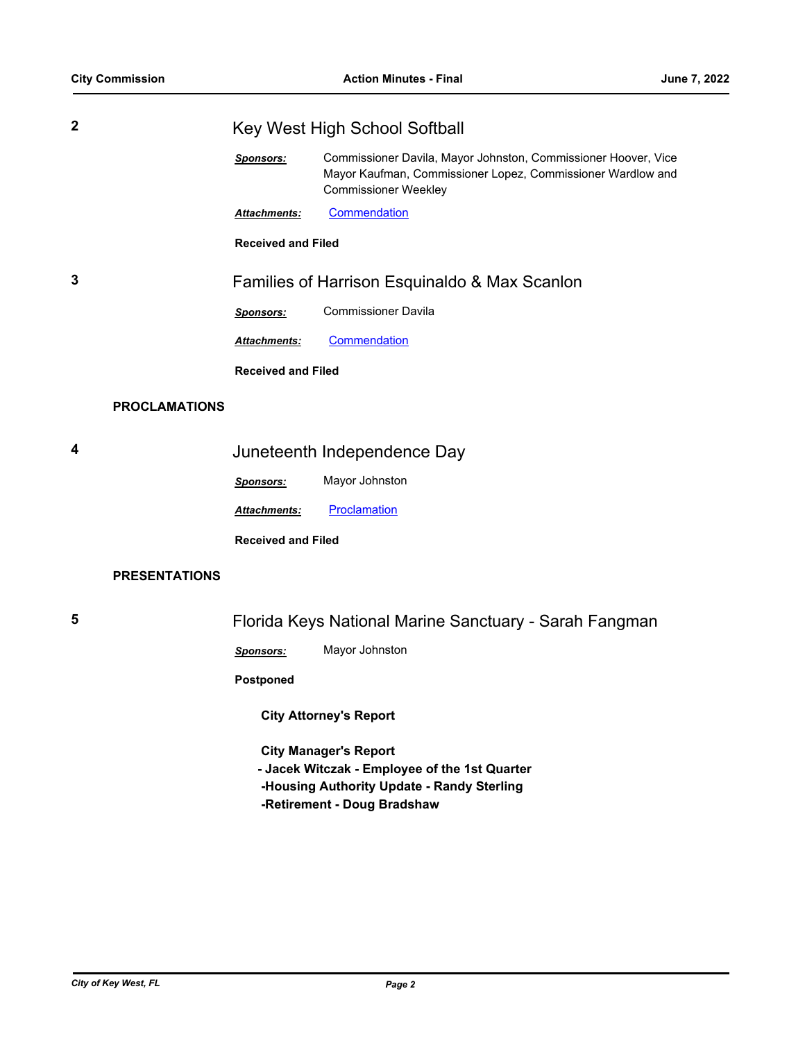| $\mathbf{2}$ |                      | Key West High School Softball                 |                                                                                                                                                              |
|--------------|----------------------|-----------------------------------------------|--------------------------------------------------------------------------------------------------------------------------------------------------------------|
|              |                      | <b>Sponsors:</b>                              | Commissioner Davila, Mayor Johnston, Commissioner Hoover, Vice<br>Mayor Kaufman, Commissioner Lopez, Commissioner Wardlow and<br><b>Commissioner Weekley</b> |
|              |                      | Attachments:                                  | Commendation                                                                                                                                                 |
|              |                      | <b>Received and Filed</b>                     |                                                                                                                                                              |
| 3            |                      | Families of Harrison Esquinaldo & Max Scanlon |                                                                                                                                                              |
|              |                      | Sponsors:                                     | <b>Commissioner Davila</b>                                                                                                                                   |
|              |                      | Attachments:                                  | Commendation                                                                                                                                                 |
|              |                      | <b>Received and Filed</b>                     |                                                                                                                                                              |
|              | <b>PROCLAMATIONS</b> |                                               |                                                                                                                                                              |
| 4            |                      |                                               | Juneteenth Independence Day                                                                                                                                  |

*Sponsors:* Mayor Johnston

**Attachments: [Proclamation](http://KeyWest.legistar.com/gateway.aspx?M=F&ID=ee7d9b9c-bf72-463d-bced-d45ec2a458e3.pdf)** 

**Received and Filed**

### **PRESENTATIONS**

**5** Florida Keys National Marine Sanctuary - Sarah Fangman

*Sponsors:* Mayor Johnston

**Postponed**

 **City Attorney's Report**

 **City Manager's Report**

- **Jacek Witczak Employee of the 1st Quarter**
- **-Housing Authority Update Randy Sterling**
- **-Retirement Doug Bradshaw**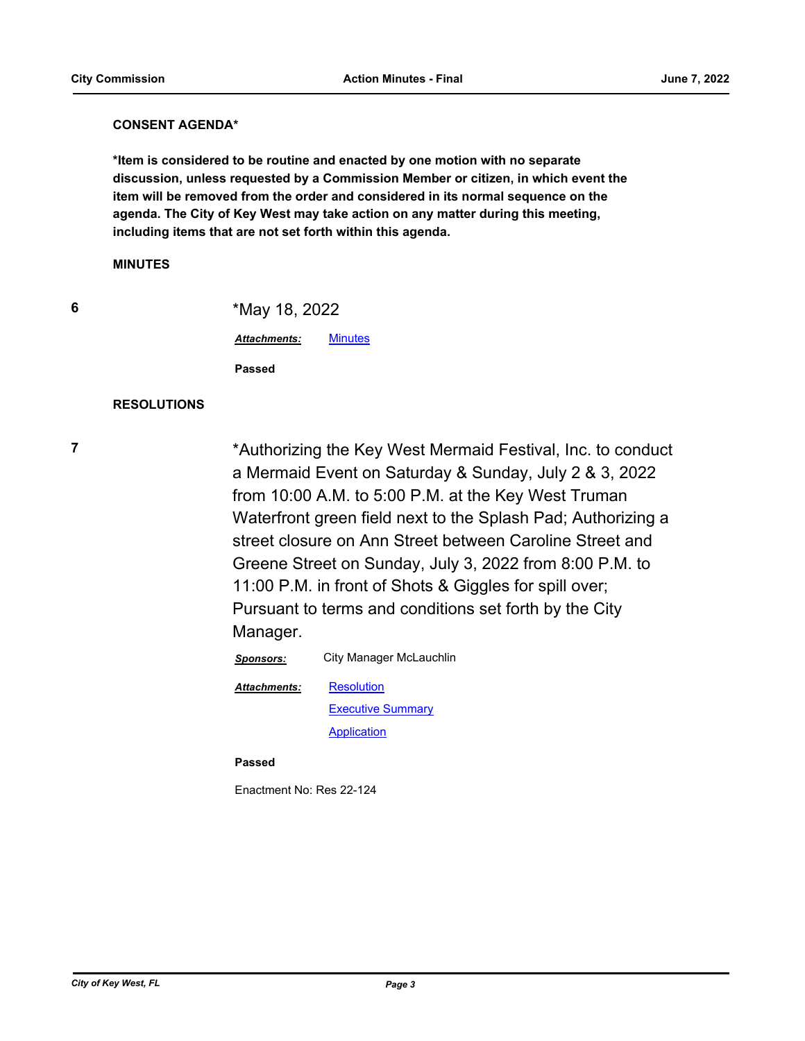#### **CONSENT AGENDA\***

**\*Item is considered to be routine and enacted by one motion with no separate discussion, unless requested by a Commission Member or citizen, in which event the item will be removed from the order and considered in its normal sequence on the agenda. The City of Key West may take action on any matter during this meeting, including items that are not set forth within this agenda.**

#### **MINUTES**

|   | i.            |
|---|---------------|
|   | ۰.            |
| × | ł<br>۰.<br>۰. |

**6** \*May 18, 2022

*Attachments:* [Minutes](http://KeyWest.legistar.com/gateway.aspx?M=F&ID=2f94d5e8-4f0b-477f-b2d1-33fb178800b7.pdf)

**Passed**

## **RESOLUTIONS**

**7** \*Authorizing the Key West Mermaid Festival, Inc. to conduct a Mermaid Event on Saturday & Sunday, July 2 & 3, 2022 from 10:00 A.M. to 5:00 P.M. at the Key West Truman Waterfront green field next to the Splash Pad; Authorizing a street closure on Ann Street between Caroline Street and Greene Street on Sunday, July 3, 2022 from 8:00 P.M. to 11:00 P.M. in front of Shots & Giggles for spill over; Pursuant to terms and conditions set forth by the City Manager.

*Sponsors:* City Manager McLauchlin

**[Resolution](http://KeyWest.legistar.com/gateway.aspx?M=F&ID=bad53263-fc35-450e-b2ab-c797e43fde79.pdf)** 

*Attachments:*

**[Executive Summary](http://KeyWest.legistar.com/gateway.aspx?M=F&ID=8130e3c2-a67f-4fcf-8fef-1d4ade76e95b.pdf) [Application](http://KeyWest.legistar.com/gateway.aspx?M=F&ID=ac71b834-4f90-4ff5-9031-c19a2b4e5a24.pdf)** 

**Passed**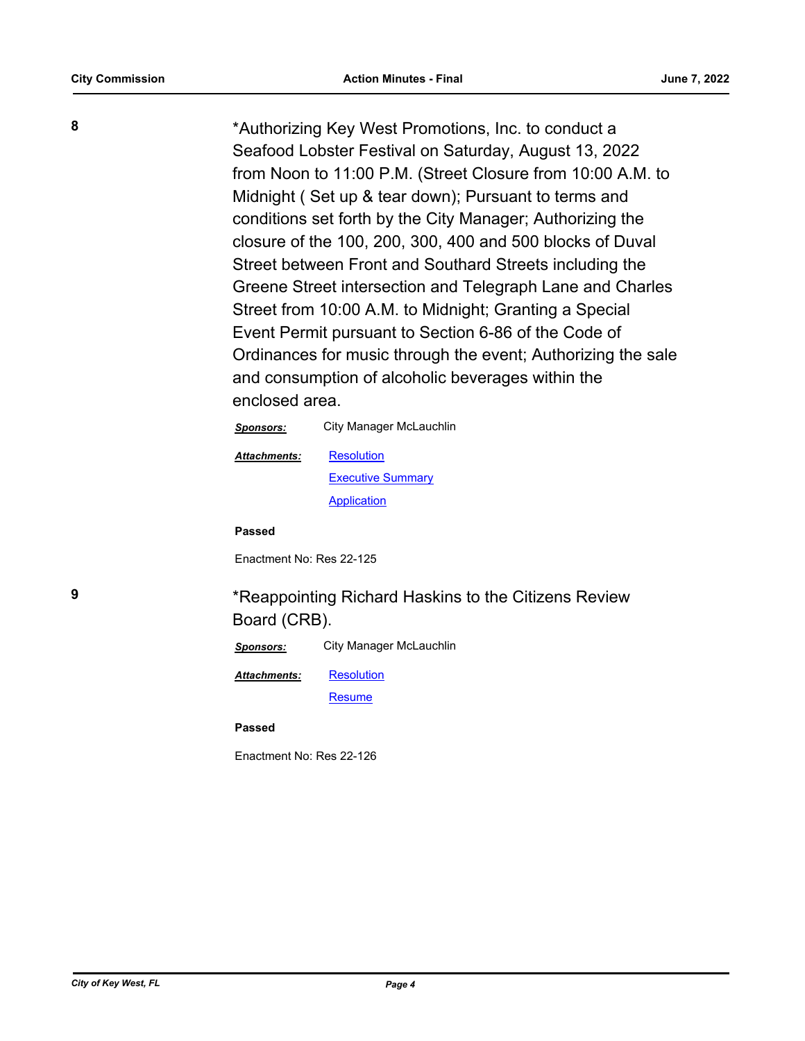**8** \*Authorizing Key West Promotions, Inc. to conduct a Seafood Lobster Festival on Saturday, August 13, 2022 from Noon to 11:00 P.M. (Street Closure from 10:00 A.M. to Midnight ( Set up & tear down); Pursuant to terms and conditions set forth by the City Manager; Authorizing the closure of the 100, 200, 300, 400 and 500 blocks of Duval Street between Front and Southard Streets including the Greene Street intersection and Telegraph Lane and Charles Street from 10:00 A.M. to Midnight; Granting a Special Event Permit pursuant to Section 6-86 of the Code of Ordinances for music through the event; Authorizing the sale and consumption of alcoholic beverages within the enclosed area.

| City Manager McLauchlin  |
|--------------------------|
| Resolution               |
| <b>Executive Summary</b> |
| Application              |
|                          |

**Passed**

Enactment No: Res 22-125

**9 12.13 \***Reappointing Richard Haskins to the Citizens Review Board (CRB).

| Sponsors:           | City Manager McLauchlin |
|---------------------|-------------------------|
| <b>Attachments:</b> | <b>Resolution</b>       |
|                     | <b>Resume</b>           |

**Passed**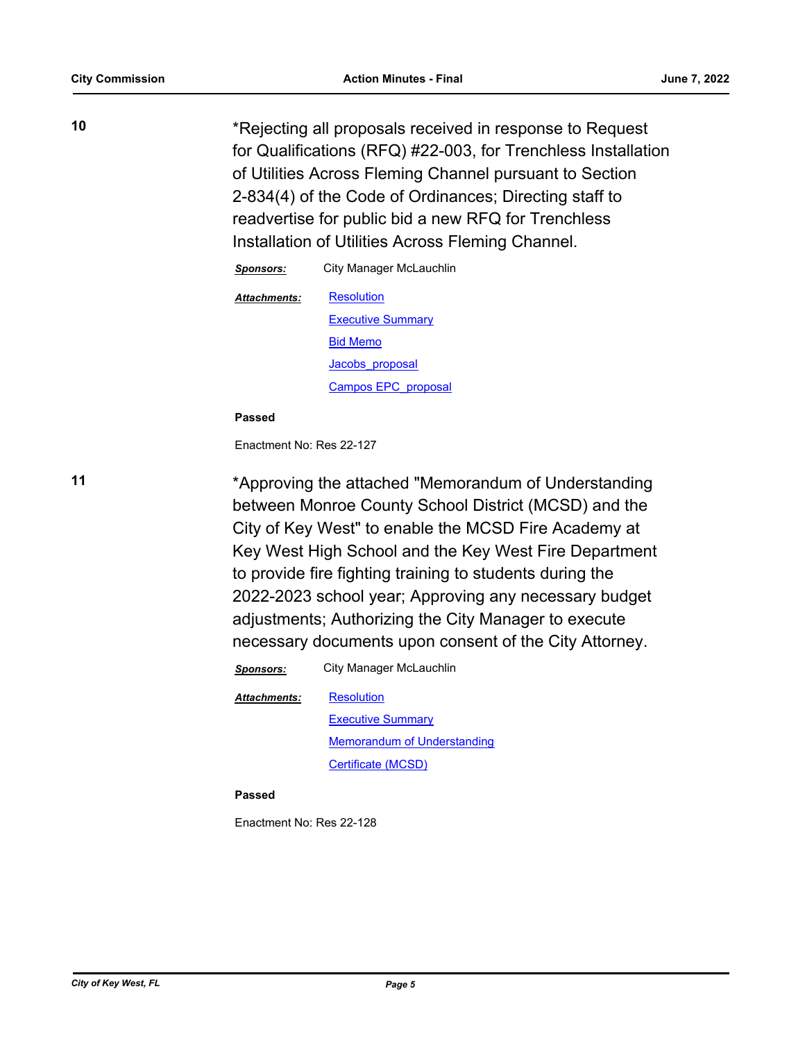**10** \*Rejecting all proposals received in response to Request for Qualifications (RFQ) #22-003, for Trenchless Installation of Utilities Across Fleming Channel pursuant to Section 2-834(4) of the Code of Ordinances; Directing staff to readvertise for public bid a new RFQ for Trenchless Installation of Utilities Across Fleming Channel.

| Sponsors:           | City Manager McLauchlin  |
|---------------------|--------------------------|
| <b>Attachments:</b> | <b>Resolution</b>        |
|                     | <b>Executive Summary</b> |
|                     | <b>Bid Memo</b>          |
|                     | Jacobs proposal          |
|                     | Campos EPC proposal      |

#### **Passed**

Enactment No: Res 22-127

**11** \*Approving the attached "Memorandum of Understanding between Monroe County School District (MCSD) and the City of Key West" to enable the MCSD Fire Academy at Key West High School and the Key West Fire Department to provide fire fighting training to students during the 2022-2023 school year; Approving any necessary budget adjustments; Authorizing the City Manager to execute necessary documents upon consent of the City Attorney.

*Sponsors:* City Manager McLauchlin

**[Resolution](http://KeyWest.legistar.com/gateway.aspx?M=F&ID=e9b90329-6581-4923-ba0f-d8194d22ab19.pdf)** *Attachments:*

> [Executive Summary](http://KeyWest.legistar.com/gateway.aspx?M=F&ID=36f326d1-6b06-4f40-ad68-d3b7999f9e3c.pdf) [Memorandum of Understanding](http://KeyWest.legistar.com/gateway.aspx?M=F&ID=25d272e8-c9fd-40c0-afb9-28d8fc9ba760.pdf) [Certificate \(MCSD\)](http://KeyWest.legistar.com/gateway.aspx?M=F&ID=a74c4ce6-5712-4832-b50a-ec73f78f41b8.pdf)

#### **Passed**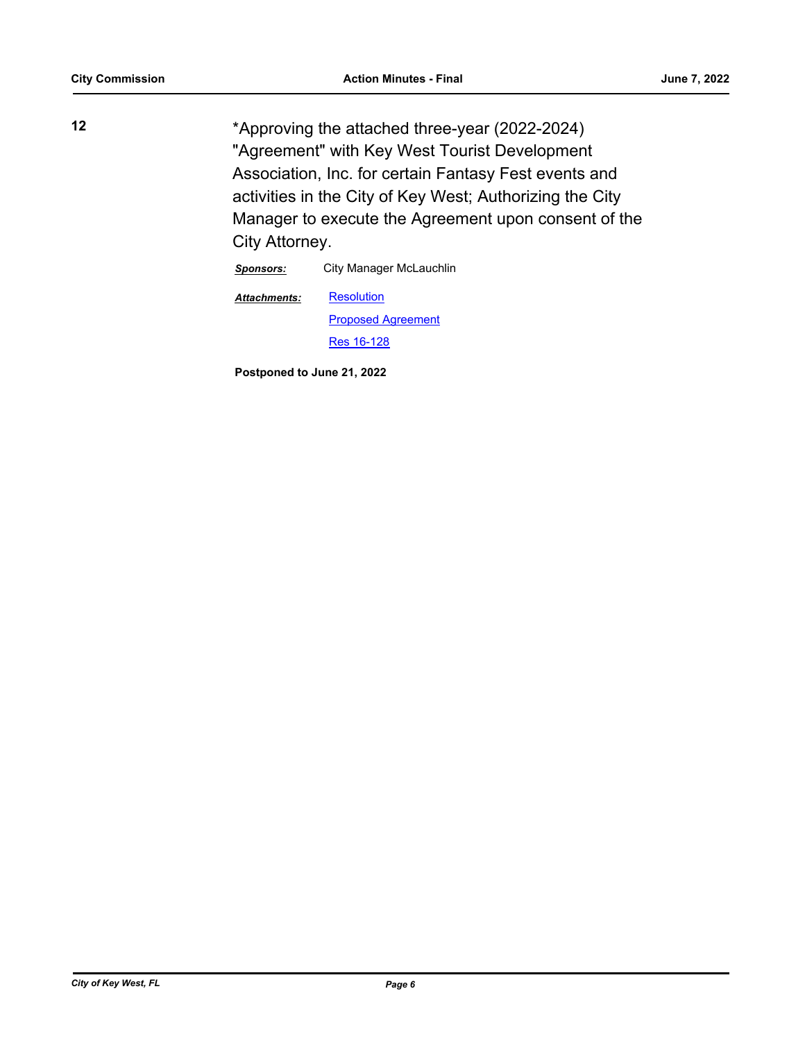**12** \*Approving the attached three-year (2022-2024) "Agreement" with Key West Tourist Development Association, Inc. for certain Fantasy Fest events and activities in the City of Key West; Authorizing the City Manager to execute the Agreement upon consent of the City Attorney.

*Sponsors:* City Manager McLauchlin

**[Resolution](http://KeyWest.legistar.com/gateway.aspx?M=F&ID=8744d75c-61ba-48ad-9989-b674d63206bb.docx)** [Proposed Agreement](http://KeyWest.legistar.com/gateway.aspx?M=F&ID=2ce4023f-86be-4087-bb34-08c38c2e76c7.pdf) [Res 16-128](http://KeyWest.legistar.com/gateway.aspx?M=F&ID=596f5e58-ff17-4a77-a524-27c057c8b59d.pdf) *Attachments:*

**Postponed to June 21, 2022**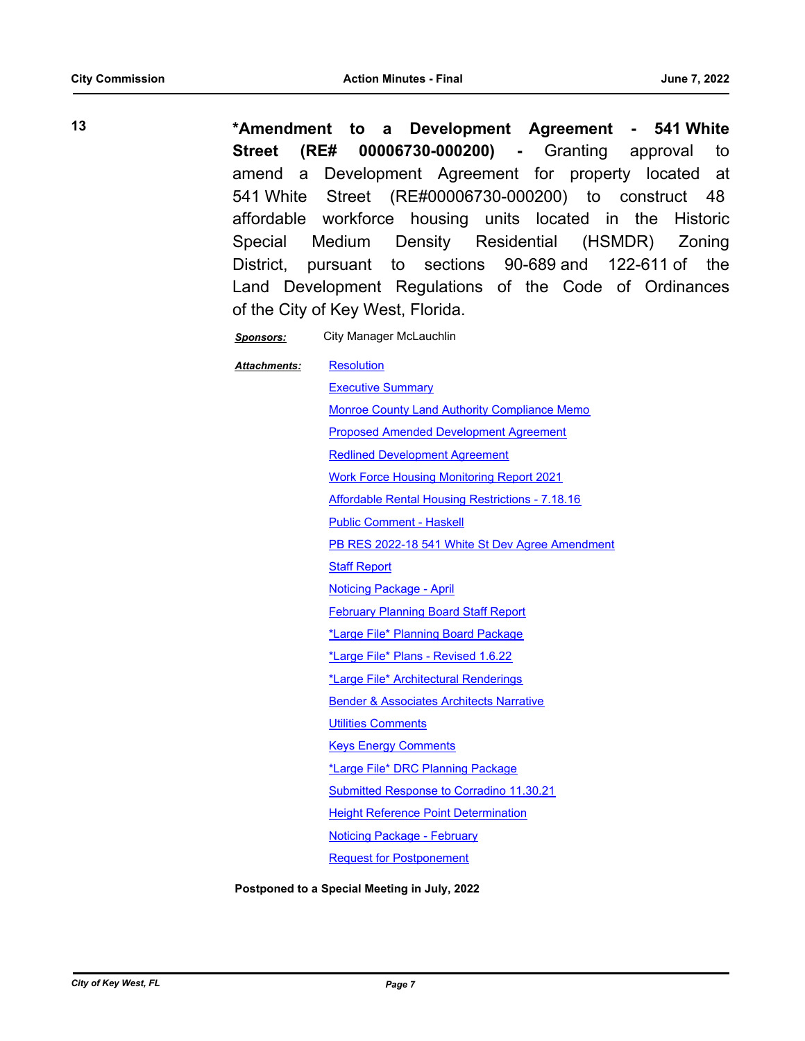**13 \*Amendment to a Development Agreement - 541 White Street (RE# 00006730-000200) -** Granting approval to amend a Development Agreement for property located at 541 White Street (RE#00006730-000200) to construct 48 affordable workforce housing units located in the Historic Special Medium Density Residential (HSMDR) Zoning District, pursuant to sections 90-689 and 122-611 of the Land Development Regulations of the Code of Ordinances of the City of Key West, Florida.

*Sponsors:* City Manager McLauchlin

**[Resolution](http://KeyWest.legistar.com/gateway.aspx?M=F&ID=59625488-27b4-44be-9f7d-0ceaa5913860.pdf) [Executive Summary](http://KeyWest.legistar.com/gateway.aspx?M=F&ID=30136eb6-18d9-46de-b2b6-2ba9881903d9.pdf)** [Monroe County Land Authority Compliance Memo](http://KeyWest.legistar.com/gateway.aspx?M=F&ID=88a65be1-1f62-4fc9-b571-cfc1a34764a4.pdf) [Proposed Amended Development Agreement](http://KeyWest.legistar.com/gateway.aspx?M=F&ID=94d3334c-0c5c-4a0b-bcf5-994d69e248b3.pdf) [Redlined Development Agreement](http://KeyWest.legistar.com/gateway.aspx?M=F&ID=96627355-bfd9-4078-b362-bbf7931b1f29.pdf) [Work Force Housing Monitoring Report 2021](http://KeyWest.legistar.com/gateway.aspx?M=F&ID=3b3d4851-8ae7-4745-952d-38bb85005818.pdf) [Affordable Rental Housing Restrictions - 7.18.16](http://KeyWest.legistar.com/gateway.aspx?M=F&ID=ecf3e714-4176-46db-bf65-e80b17291e57.pdf) [Public Comment - Haskell](http://KeyWest.legistar.com/gateway.aspx?M=F&ID=f1854e2c-c608-464b-940d-34d05fa6366b.pdf) [PB RES 2022-18 541 White St Dev Agree Amendment](http://KeyWest.legistar.com/gateway.aspx?M=F&ID=5a867966-25f9-412d-aa97-ba72ac7bd240.pdf) [Staff Report](http://KeyWest.legistar.com/gateway.aspx?M=F&ID=01567f66-0407-44d3-ae5a-57ad65a29958.pdf) [Noticing Package - April](http://KeyWest.legistar.com/gateway.aspx?M=F&ID=c8e5930f-fbc6-444f-aad0-b9434adb030e.pdf) **[February Planning Board Staff Report](http://KeyWest.legistar.com/gateway.aspx?M=F&ID=0b15ec1d-a048-4f92-862c-ff6fc1288481.pdf)** [\\*Large File\\* Planning Board Package](http://KeyWest.legistar.com/gateway.aspx?M=F&ID=67cb8a5c-76e3-42a1-98bf-ba69f63d5cf6.pdf) [\\*Large File\\* Plans - Revised 1.6.22](http://KeyWest.legistar.com/gateway.aspx?M=F&ID=c45cfc06-4bbf-47f8-ba0c-d58bb3f8e61d.pdf) [\\*Large File\\* Architectural Renderings](http://KeyWest.legistar.com/gateway.aspx?M=F&ID=c98c48a1-0a28-4554-9380-69d2a9e51f2f.pdf) **[Bender & Associates Architects Narrative](http://KeyWest.legistar.com/gateway.aspx?M=F&ID=1dc722a6-6c1c-40dd-a872-ce9a5975d94e.pdf) [Utilities Comments](http://KeyWest.legistar.com/gateway.aspx?M=F&ID=c3210f92-96dd-437b-aba1-913732cdd05d.pdf)** [Keys Energy Comments](http://KeyWest.legistar.com/gateway.aspx?M=F&ID=0967542d-5248-4189-84be-203088da19e3.pdf) [\\*Large File\\* DRC Planning Package](http://KeyWest.legistar.com/gateway.aspx?M=F&ID=f0d8f989-1f96-42a1-87a7-59c4ef6514bb.pdf) [Submitted Response to Corradino 11.30.21](http://KeyWest.legistar.com/gateway.aspx?M=F&ID=c14a91b8-c894-43a6-b244-c2b08239a088.pdf) [Height Reference Point Determination](http://KeyWest.legistar.com/gateway.aspx?M=F&ID=08c68ddf-5f01-439a-a8ea-05bbee5c1dc9.pdf) [Noticing Package - February](http://KeyWest.legistar.com/gateway.aspx?M=F&ID=e1c95328-84a7-49d0-900f-132ae10e2a34.pdf) [Request for Postponement](http://KeyWest.legistar.com/gateway.aspx?M=F&ID=024306fe-c4b5-43f7-8464-8388895846c6.pdf) *Attachments:*

**Postponed to a Special Meeting in July, 2022**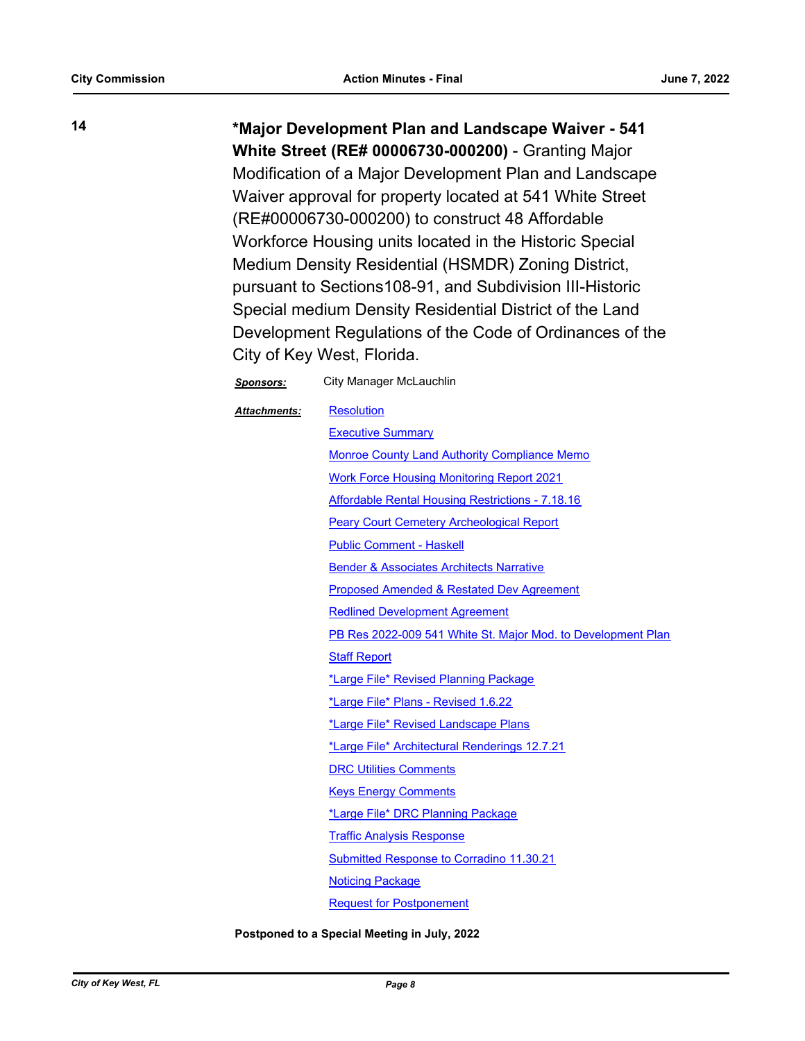**14 \*Major Development Plan and Landscape Waiver - 541 White Street (RE# 00006730-000200)** - Granting Major Modification of a Major Development Plan and Landscape Waiver approval for property located at 541 White Street (RE#00006730-000200) to construct 48 Affordable Workforce Housing units located in the Historic Special Medium Density Residential (HSMDR) Zoning District, pursuant to Sections108-91, and Subdivision III-Historic Special medium Density Residential District of the Land Development Regulations of the Code of Ordinances of the City of Key West, Florida.

| <b>Sponsors:</b>    | City Manager McLauchlin                                      |
|---------------------|--------------------------------------------------------------|
| <b>Attachments:</b> | <b>Resolution</b>                                            |
|                     | <b>Executive Summary</b>                                     |
|                     | <b>Monroe County Land Authority Compliance Memo</b>          |
|                     | <b>Work Force Housing Monitoring Report 2021</b>             |
|                     | <b>Affordable Rental Housing Restrictions - 7.18.16</b>      |
|                     | <b>Peary Court Cemetery Archeological Report</b>             |
|                     | <b>Public Comment - Haskell</b>                              |
|                     | <b>Bender &amp; Associates Architects Narrative</b>          |
|                     | <b>Proposed Amended &amp; Restated Dev Agreement</b>         |
|                     | <b>Redlined Development Agreement</b>                        |
|                     | PB Res 2022-009 541 White St. Major Mod. to Development Plan |
|                     | <b>Staff Report</b>                                          |
|                     | *Large File* Revised Planning Package                        |
|                     | *Large File* Plans - Revised 1.6.22                          |
|                     | *Large File* Revised Landscape Plans                         |
|                     | <u>*Large File* Architectural Renderings 12.7.21</u>         |
|                     | <b>DRC Utilities Comments</b>                                |
|                     | <b>Keys Energy Comments</b>                                  |
|                     | *Large File* DRC Planning Package                            |
|                     | <b>Traffic Analysis Response</b>                             |
|                     | <b>Submitted Response to Corradino 11.30.21</b>              |
|                     | <b>Noticing Package</b>                                      |
|                     | <b>Request for Postponement</b>                              |

**Postponed to a Special Meeting in July, 2022**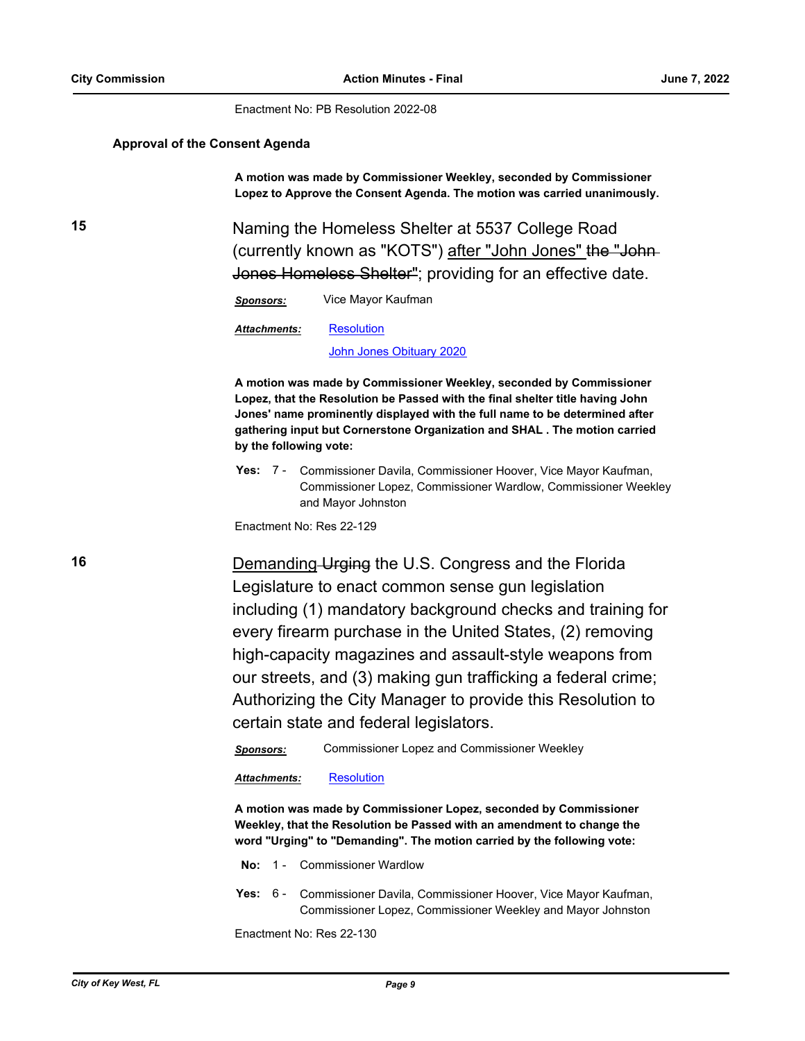Enactment No: PB Resolution 2022-08

#### **Approval of the Consent Agenda**

**A motion was made by Commissioner Weekley, seconded by Commissioner Lopez to Approve the Consent Agenda. The motion was carried unanimously.**

**15** Naming the Homeless Shelter at 5537 College Road (currently known as "KOTS") after "John Jones" the "John-Jones Homeless Shelter"; providing for an effective date.

*Sponsors:* Vice Mayor Kaufman

**[Resolution](http://KeyWest.legistar.com/gateway.aspx?M=F&ID=6374720c-4d6b-4b35-95bb-27489a884578.pdf)** *Attachments:*

[John Jones Obituary 2020](http://KeyWest.legistar.com/gateway.aspx?M=F&ID=58f2fe85-6f95-4768-8730-2f5e2fad8e1f.pdf)

**A motion was made by Commissioner Weekley, seconded by Commissioner Lopez, that the Resolution be Passed with the final shelter title having John Jones' name prominently displayed with the full name to be determined after gathering input but Cornerstone Organization and SHAL . The motion carried by the following vote:**

Yes: 7 - Commissioner Davila, Commissioner Hoover, Vice Mayor Kaufman, Commissioner Lopez, Commissioner Wardlow, Commissioner Weekley and Mayor Johnston

Enactment No: Res 22-129

**16** Demanding Urging the U.S. Congress and the Florida Legislature to enact common sense gun legislation including (1) mandatory background checks and training for every firearm purchase in the United States, (2) removing high-capacity magazines and assault-style weapons from our streets, and (3) making gun trafficking a federal crime; Authorizing the City Manager to provide this Resolution to certain state and federal legislators.

*Sponsors:* Commissioner Lopez and Commissioner Weekley

*Attachments:* [Resolution](http://KeyWest.legistar.com/gateway.aspx?M=F&ID=5433c8e4-fa35-4f4a-86bd-47176fe7766d.pdf)

**A motion was made by Commissioner Lopez, seconded by Commissioner Weekley, that the Resolution be Passed with an amendment to change the word "Urging" to "Demanding". The motion carried by the following vote:**

**No:** 1 - Commissioner Wardlow

Yes: 6 - Commissioner Davila, Commissioner Hoover, Vice Mayor Kaufman, Commissioner Lopez, Commissioner Weekley and Mayor Johnston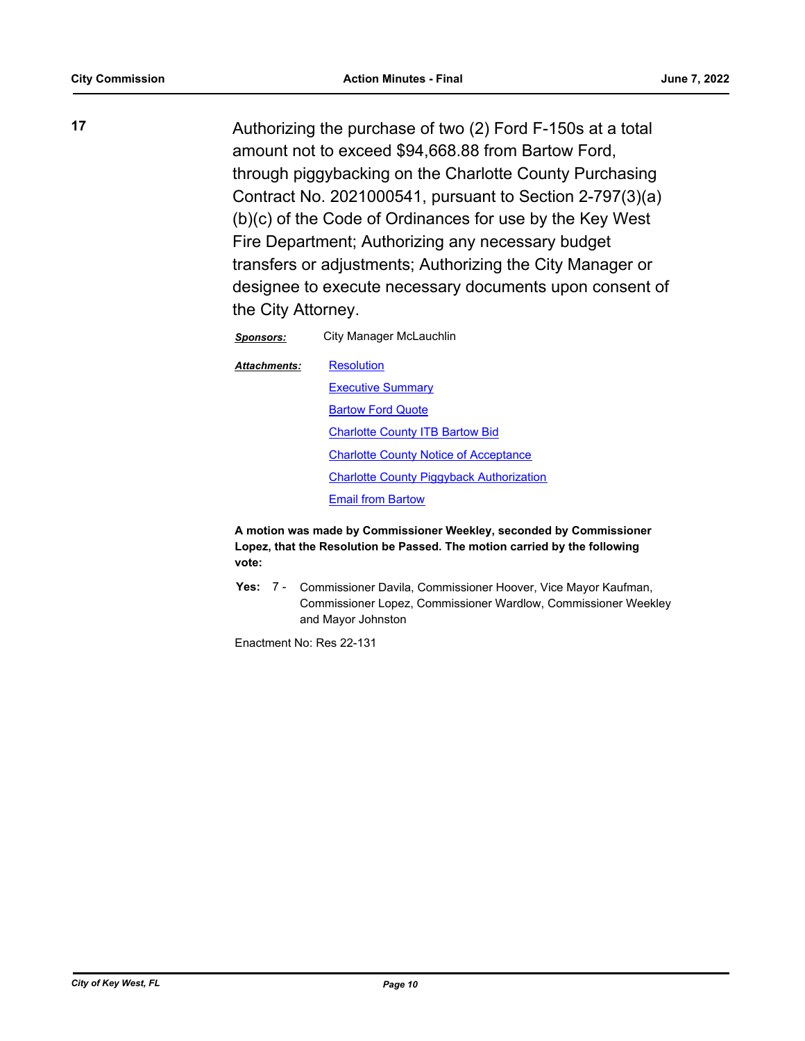**17** Authorizing the purchase of two (2) Ford F-150s at a total amount not to exceed \$94,668.88 from Bartow Ford, through piggybacking on the Charlotte County Purchasing Contract No. 2021000541, pursuant to Section 2-797(3)(a) (b)(c) of the Code of Ordinances for use by the Key West Fire Department; Authorizing any necessary budget transfers or adjustments; Authorizing the City Manager or designee to execute necessary documents upon consent of the City Attorney.

*Sponsors:* City Manager McLauchlin

**[Resolution](http://KeyWest.legistar.com/gateway.aspx?M=F&ID=7b290c38-4a54-4ab6-bafb-61431a76c6de.pdf)** *Attachments:*

**[Executive Summary](http://KeyWest.legistar.com/gateway.aspx?M=F&ID=de4a3811-356b-4367-9c87-59b58ad2b898.pdf)** [Bartow Ford Quote](http://KeyWest.legistar.com/gateway.aspx?M=F&ID=aca73cea-fcbf-4364-bfa0-85ee39f5db9a.pdf) **[Charlotte County ITB Bartow Bid](http://KeyWest.legistar.com/gateway.aspx?M=F&ID=8d377c71-fd1c-4c0f-ad44-8a0b090918c1.pdf)** [Charlotte County Notice of Acceptance](http://KeyWest.legistar.com/gateway.aspx?M=F&ID=5c418cca-c5e2-4d5d-80f8-7e64bd904c64.pdf) [Charlotte County Piggyback Authorization](http://KeyWest.legistar.com/gateway.aspx?M=F&ID=1a7e6fba-19a0-40f2-b115-e917f61d287e.pdf) **[Email from Bartow](http://KeyWest.legistar.com/gateway.aspx?M=F&ID=bedca938-f273-44d3-ab2c-96411c18df67.pdf)** 

**A motion was made by Commissioner Weekley, seconded by Commissioner Lopez, that the Resolution be Passed. The motion carried by the following vote:**

Yes: 7 - Commissioner Davila, Commissioner Hoover, Vice Mayor Kaufman, Commissioner Lopez, Commissioner Wardlow, Commissioner Weekley and Mayor Johnston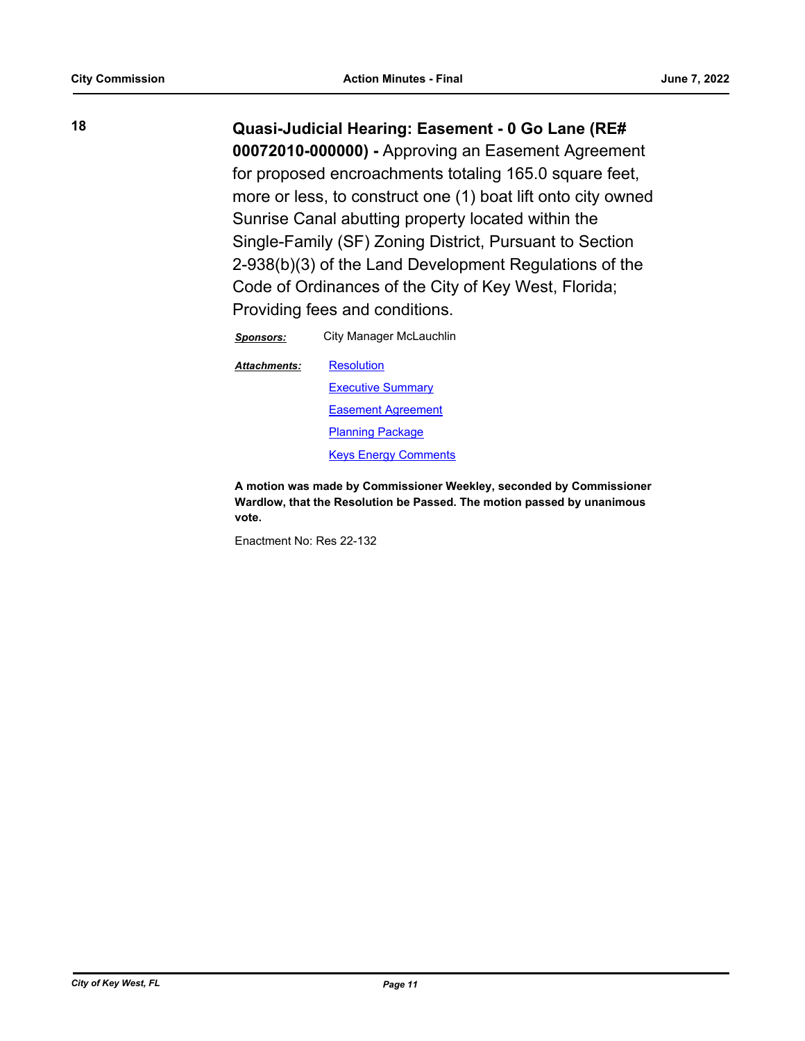**18 Quasi-Judicial Hearing: Easement - 0 Go Lane (RE# 00072010-000000) -** Approving an Easement Agreement for proposed encroachments totaling 165.0 square feet, more or less, to construct one (1) boat lift onto city owned Sunrise Canal abutting property located within the Single-Family (SF) Zoning District, Pursuant to Section 2-938(b)(3) of the Land Development Regulations of the Code of Ordinances of the City of Key West, Florida; Providing fees and conditions.

*Sponsors:* City Manager McLauchlin

**[Resolution](http://KeyWest.legistar.com/gateway.aspx?M=F&ID=945d4372-b3a4-4a0d-bcfa-56a152bcf1f1.pdf) [Executive Summary](http://KeyWest.legistar.com/gateway.aspx?M=F&ID=c40d2e30-ada6-401f-bf8e-08b01ea4bcb6.pdf)** [Easement Agreement](http://KeyWest.legistar.com/gateway.aspx?M=F&ID=c6b7ff6e-e862-4324-aef9-7ee53aa31e7c.pdf) [Planning Package](http://KeyWest.legistar.com/gateway.aspx?M=F&ID=aaf316aa-d33a-4ecd-8cf4-2602798e26d5.pdf) [Keys Energy Comments](http://KeyWest.legistar.com/gateway.aspx?M=F&ID=4339757a-7819-485c-8602-9857aec79816.pdf) *Attachments:*

**A motion was made by Commissioner Weekley, seconded by Commissioner Wardlow, that the Resolution be Passed. The motion passed by unanimous vote.**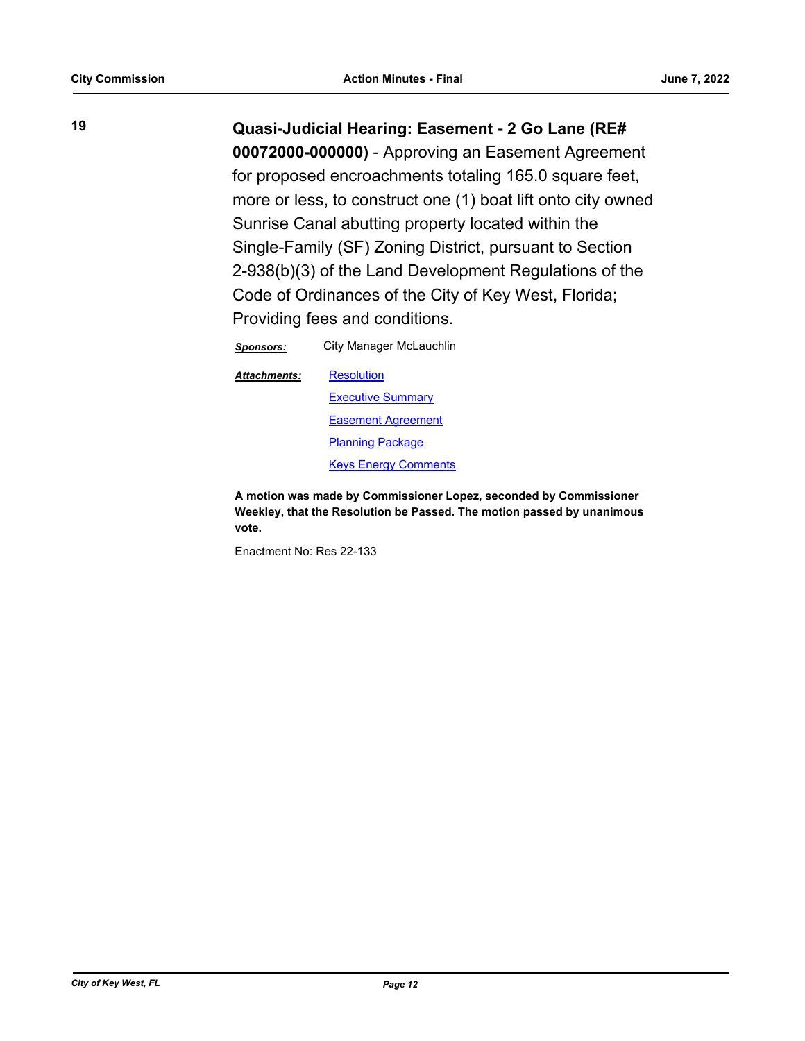**19 Quasi-Judicial Hearing: Easement - 2 Go Lane (RE#** 

**00072000-000000)** - Approving an Easement Agreement for proposed encroachments totaling 165.0 square feet, more or less, to construct one (1) boat lift onto city owned Sunrise Canal abutting property located within the Single-Family (SF) Zoning District, pursuant to Section 2-938(b)(3) of the Land Development Regulations of the Code of Ordinances of the City of Key West, Florida; Providing fees and conditions.

*Sponsors:* City Manager McLauchlin

**[Resolution](http://KeyWest.legistar.com/gateway.aspx?M=F&ID=d2c7fcda-8753-422c-a531-763cdf186272.pdf)** *Attachments:*

> **[Executive Summary](http://KeyWest.legistar.com/gateway.aspx?M=F&ID=00297cb4-34f0-4c9a-9597-f341d09bf313.pdf)** [Easement Agreement](http://KeyWest.legistar.com/gateway.aspx?M=F&ID=79e73a0e-5e9e-479e-948d-4679a7d5a348.pdf) [Planning Package](http://KeyWest.legistar.com/gateway.aspx?M=F&ID=a4c5240b-9e32-4f15-9692-a42fe25ea85b.pdf) [Keys Energy Comments](http://KeyWest.legistar.com/gateway.aspx?M=F&ID=c4539ec2-074a-46a9-8bbf-d960cd5c328f.pdf)

**A motion was made by Commissioner Lopez, seconded by Commissioner Weekley, that the Resolution be Passed. The motion passed by unanimous vote.**